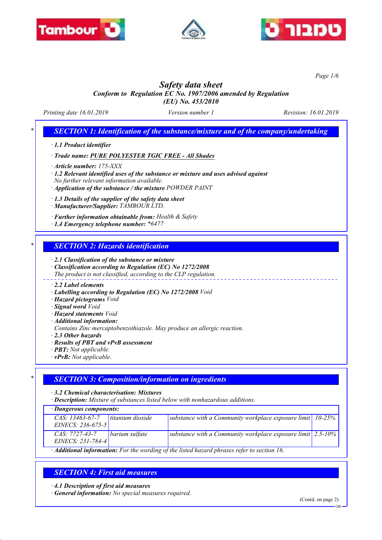





*Page 1/6*

# *Safety data sheet*

*Conform to Regulation EC No. 1907/2006 amended by Regulation (EU) No. 453/2010*

*Printing date 16.01.2019 Version number 1 Revision: 16.01.2019*

# *\* SECTION 1: Identification of the substance/mixture and of the company/undertaking*

*· 1.1 Product identifier*

*· Trade name: PURE POLYESTER TGIC FREE - All Shades*

*· Article number: 175-XXX*

*· 1.2 Relevant identified uses of the substance or mixture and uses advised against No further relevant information available.*

*· Application of the substance / the mixture POWDER PAINT*

*· 1.3 Details of the supplier of the safety data sheet*

*· Manufacturer/Supplier: TAMBOUR LTD.*

*· Further information obtainable from: Health & Safety*

*· 1.4 Emergency telephone number: \*6477*

## *\* SECTION 2: Hazards identification*

*· 2.1 Classification of the substance or mixture*

*· Classification according to Regulation (EC) No 1272/2008*

*The product is not classified, according to the CLP regulation.*

#### *· 2.2 Label elements*

*· Labelling according to Regulation (EC) No 1272/2008 Void*

- *· Hazard pictograms Void*
- *· Signal word Void*
- *· Hazard statements Void*
- *· Additional information:*

*Contains Zinc mercaptobenzothiazole. May produce an allergic reaction.*

*· 2.3 Other hazards*

- *· Results of PBT and vPvB assessment*
- *· PBT: Not applicable.*
- *· vPvB: Not applicable.*

# *\* SECTION 3: Composition/information on ingredients*

*· 3.2 Chemical characterisation: Mixtures*

*· Description: Mixture of substances listed below with nonhazardous additions.*

*· Dangerous components:*

| Dungerous components.                                                                                    |                  |                                                                             |  |  |
|----------------------------------------------------------------------------------------------------------|------------------|-----------------------------------------------------------------------------|--|--|
| $CAS: 13463-67-7$<br>EINECS: $236-675-5$                                                                 | titanium dioxide | substance with a Community workplace exposure limit $ 10-25\% $             |  |  |
| CAS: 7727-43-7<br>EINECS: 231-784-4                                                                      | barium sulfate   | substance with a Community workplace exposure limit $\vert$ 2.5-10% $\vert$ |  |  |
| $\cdot$ <b>Additional information:</b> For the wording of the listed hazard phrases refer to section 16. |                  |                                                                             |  |  |

# *SECTION 4: First aid measures*

*· 4.1 Description of first aid measures*

*· General information: No special measures required.*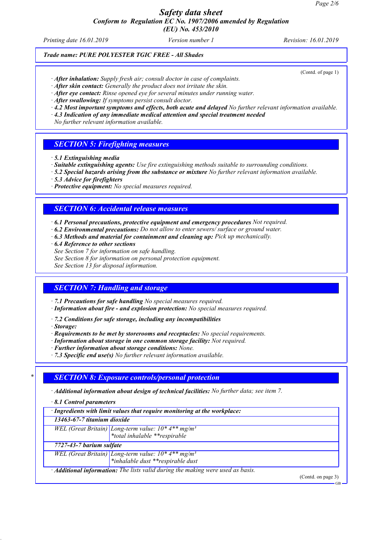# *Safety data sheet Conform to Regulation EC No. 1907/2006 amended by Regulation*

*(EU) No. 453/2010*

*Printing date 16.01.2019 Version number 1 Revision: 16.01.2019*

## *Trade name: PURE POLYESTER TGIC FREE - All Shades*

(Contd. of page 1)

- *· After inhalation: Supply fresh air; consult doctor in case of complaints.*
- *· After skin contact: Generally the product does not irritate the skin.*
- *· After eye contact: Rinse opened eye for several minutes under running water.*
- *· After swallowing: If symptoms persist consult doctor.*
- *· 4.2 Most important symptoms and effects, both acute and delayed No further relevant information available.*
- *· 4.3 Indication of any immediate medical attention and special treatment needed*

*No further relevant information available.*

#### *SECTION 5: Firefighting measures*

- *· 5.1 Extinguishing media*
- *· Suitable extinguishing agents: Use fire extinguishing methods suitable to surrounding conditions.*
- *· 5.2 Special hazards arising from the substance or mixture No further relevant information available.*
- *· 5.3 Advice for firefighters*
- *· Protective equipment: No special measures required.*

#### *SECTION 6: Accidental release measures*

- *· 6.1 Personal precautions, protective equipment and emergency procedures Not required.*
- *· 6.2 Environmental precautions: Do not allow to enter sewers/ surface or ground water.*
- *· 6.3 Methods and material for containment and cleaning up: Pick up mechanically.*
- *· 6.4 Reference to other sections*
- *See Section 7 for information on safe handling.*
- *See Section 8 for information on personal protection equipment.*

*See Section 13 for disposal information.*

#### *SECTION 7: Handling and storage*

*· 7.1 Precautions for safe handling No special measures required.*

*· Information about fire - and explosion protection: No special measures required.*

*· 7.2 Conditions for safe storage, including any incompatibilities*

- *· Storage:*
- *· Requirements to be met by storerooms and receptacles: No special requirements.*
- *· Information about storage in one common storage facility: Not required.*
- *· Further information about storage conditions: None.*
- *· 7.3 Specific end use(s) No further relevant information available.*

## *\* SECTION 8: Exposure controls/personal protection*

- *· Additional information about design of technical facilities: No further data; see item 7.*
- *· 8.1 Control parameters*

| · Ingredients with limit values that require monitoring at the workplace:              |                                                                                                                                                                                                                   |  |  |  |
|----------------------------------------------------------------------------------------|-------------------------------------------------------------------------------------------------------------------------------------------------------------------------------------------------------------------|--|--|--|
| 13463-67-7 titanium dioxide                                                            |                                                                                                                                                                                                                   |  |  |  |
|                                                                                        |                                                                                                                                                                                                                   |  |  |  |
|                                                                                        |                                                                                                                                                                                                                   |  |  |  |
| 7727-43-7 barium sulfate                                                               |                                                                                                                                                                                                                   |  |  |  |
|                                                                                        |                                                                                                                                                                                                                   |  |  |  |
|                                                                                        |                                                                                                                                                                                                                   |  |  |  |
| · <b>Additional information:</b> The lists valid during the making were used as basis. |                                                                                                                                                                                                                   |  |  |  |
|                                                                                        | (Contd. on page 3)<br>GB                                                                                                                                                                                          |  |  |  |
|                                                                                        | WEL (Great Britain) Long-term value: $10*4**mg/m^3$<br>*total inhalable **respirable<br><i>WEL</i> (Great Britain) Long-term value: $10^*$ 4 <sup>**</sup> mg/m <sup>3</sup><br>*inhalable dust **respirable dust |  |  |  |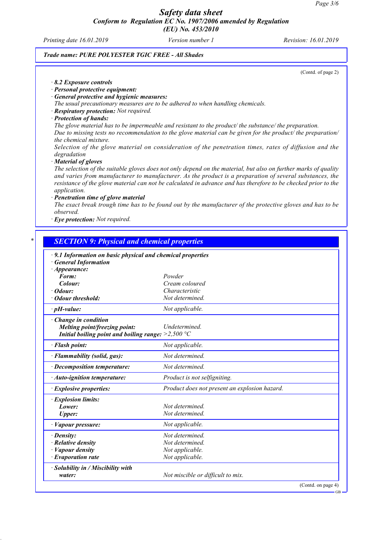### *Safety data sheet Conform to Regulation EC No. 1907/2006 amended by Regulation (EU) No. 453/2010*

*Printing date 16.01.2019 Version number 1 Revision: 16.01.2019*

#### *Trade name: PURE POLYESTER TGIC FREE - All Shades*

(Contd. of page 2)

- *· 8.2 Exposure controls*
- *· Personal protective equipment:*
- *· General protective and hygienic measures:*

*The usual precautionary measures are to be adhered to when handling chemicals.*

- *· Respiratory protection: Not required.*
- *· Protection of hands:*

*The glove material has to be impermeable and resistant to the product/ the substance/ the preparation. Due to missing tests no recommendation to the glove material can be given for the product/ the preparation/ the chemical mixture.*

*Selection of the glove material on consideration of the penetration times, rates of diffusion and the degradation*

*· Material of gloves*

*The selection of the suitable gloves does not only depend on the material, but also on further marks of quality and varies from manufacturer to manufacturer. As the product is a preparation of several substances, the resistance of the glove material can not be calculated in advance and has therefore to be checked prior to the application.*

*· Penetration time of glove material*

*The exact break trough time has to be found out by the manufacturer of the protective gloves and has to be observed.*

*· Eye protection: Not required.*

| · 9.1 Information on basic physical and chemical properties |                                               |
|-------------------------------------------------------------|-----------------------------------------------|
| <b>General Information</b>                                  |                                               |
| $\cdot$ Appearance:                                         |                                               |
| Form:                                                       | Powder                                        |
| Colour:<br>$\cdot$ Odour:                                   | Cream coloured<br>Characteristic              |
| · Odour threshold:                                          | Not determined.                               |
|                                                             |                                               |
| $\cdot$ pH-value:                                           | Not applicable.                               |
| $\cdot$ Change in condition                                 |                                               |
| Melting point/freezing point:                               | <b>Undetermined</b>                           |
| Initial boiling point and boiling range: $>2,500$ °C        |                                               |
| · Flash point:                                              | Not applicable.                               |
| · Flammability (solid, gas):                                | Not determined.                               |
| · Decomposition temperature:                                | Not determined.                               |
| · Auto-ignition temperature:                                | Product is not selfigniting.                  |
| · Explosive properties:                                     | Product does not present an explosion hazard. |
| · Explosion limits:                                         |                                               |
| Lower:                                                      | Not determined.                               |
| <b>Upper:</b>                                               | Not determined.                               |
| · Vapour pressure:                                          | Not applicable.                               |
| · Density:                                                  | Not determined.                               |
| $\cdot$ Relative density                                    | Not determined.                               |
| · Vapour density                                            | Not applicable.                               |
| $\cdot$ Evaporation rate                                    | Not applicable.                               |
| · Solubility in / Miscibility with                          |                                               |
| water:                                                      | Not miscible or difficult to mix.             |

GB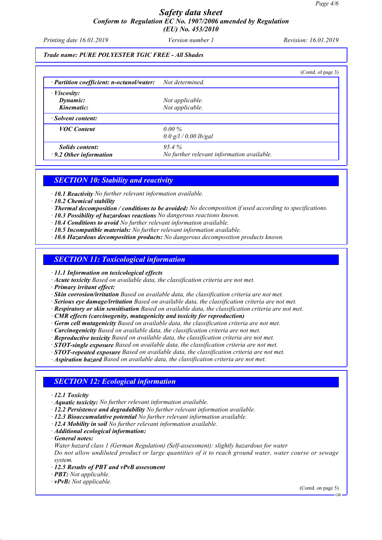## *Safety data sheet Conform to Regulation EC No. 1907/2006 amended by Regulation (EU) No. 453/2010*

*Printing date 16.01.2019 Version number 1 Revision: 16.01.2019*

#### *Trade name: PURE POLYESTER TGIC FREE - All Shades*

|                                           |                                            | (Contd. of page 3) |
|-------------------------------------------|--------------------------------------------|--------------------|
| · Partition coefficient: n-octanol/water: | Not determined.                            |                    |
| $\cdot$ <i>Viscosity:</i>                 |                                            |                    |
| Dynamic:                                  | Not applicable.                            |                    |
| Kinematic:                                | Not applicable.                            |                    |
| · Solvent content:                        |                                            |                    |
| <b>VOC</b> Content                        | $0.00\%$                                   |                    |
|                                           | 0.0 g/l / 0.00 lb/gal                      |                    |
| <i>Solids content:</i>                    | $95.4\%$                                   |                    |
| $\cdot$ 9.2 Other information             | No further relevant information available. |                    |

#### *SECTION 10: Stability and reactivity*

- *· 10.1 Reactivity No further relevant information available.*
- *· 10.2 Chemical stability*
- *· Thermal decomposition / conditions to be avoided: No decomposition if used according to specifications.*
- *· 10.3 Possibility of hazardous reactions No dangerous reactions known.*
- *· 10.4 Conditions to avoid No further relevant information available.*
- *· 10.5 Incompatible materials: No further relevant information available.*
- *· 10.6 Hazardous decomposition products: No dangerous decomposition products known.*

#### *SECTION 11: Toxicological information*

#### *· 11.1 Information on toxicological effects*

- *· Acute toxicity Based on available data, the classification criteria are not met.*
- *· Primary irritant effect:*
- *· Skin corrosion/irritation Based on available data, the classification criteria are not met.*
- *· Serious eye damage/irritation Based on available data, the classification criteria are not met.*
- *· Respiratory or skin sensitisation Based on available data, the classification criteria are not met.*
- *· CMR effects (carcinogenity, mutagenicity and toxicity for reproduction)*
- *· Germ cell mutagenicity Based on available data, the classification criteria are not met.*
- *· Carcinogenicity Based on available data, the classification criteria are not met.*
- *· Reproductive toxicity Based on available data, the classification criteria are not met.*
- *· STOT-single exposure Based on available data, the classification criteria are not met.*
- *· STOT-repeated exposure Based on available data, the classification criteria are not met.*

*· Aspiration hazard Based on available data, the classification criteria are not met.*

#### *SECTION 12: Ecological information*

- *· 12.1 Toxicity*
- *· Aquatic toxicity: No further relevant information available.*
- *· 12.2 Persistence and degradability No further relevant information available.*
- *· 12.3 Bioaccumulative potential No further relevant information available.*
- *· 12.4 Mobility in soil No further relevant information available.*
- *· Additional ecological information:*
- *· General notes:*
- *Water hazard class 1 (German Regulation) (Self-assessment): slightly hazardous for water*

*Do not allow undiluted product or large quantities of it to reach ground water, water course or sewage system.*

- *· 12.5 Results of PBT and vPvB assessment*
- *· PBT: Not applicable.*
- *· vPvB: Not applicable.*

(Contd. on page 5)

GB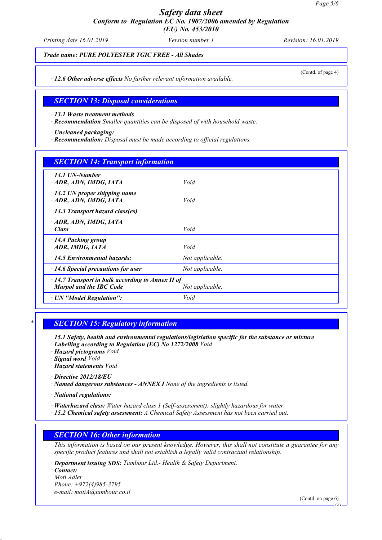# *Safety data sheet Conform to Regulation EC No. 1907/2006 amended by Regulation*

*(EU) No. 453/2010*

*Printing date 16.01.2019 Version number 1 Revision: 16.01.2019*

*Trade name: PURE POLYESTER TGIC FREE - All Shades*

(Contd. of page 4)

*· 12.6 Other adverse effects No further relevant information available.*

#### *SECTION 13: Disposal considerations*

*· 13.1 Waste treatment methods*

*· Recommendation Smaller quantities can be disposed of with household waste.*

*· Uncleaned packaging:*

*· Recommendation: Disposal must be made according to official regulations.*

| <b>SECTION 14: Transport information</b>                                                                     |                 |  |
|--------------------------------------------------------------------------------------------------------------|-----------------|--|
| $\cdot$ 14.1 UN-Number<br>· ADR, ADN, IMDG, IATA                                                             | Void            |  |
| $\cdot$ 14.2 UN proper shipping name<br>ADR, ADN, IMDG, IATA                                                 | Void            |  |
| $\cdot$ 14.3 Transport hazard class(es)                                                                      |                 |  |
| ADR, ADN, IMDG, IATA<br>$\cdot$ Class                                                                        | Void            |  |
| $\cdot$ 14.4 Packing group<br>ADR, IMDG, IATA                                                                | Void            |  |
| $\cdot$ 14.5 Environmental hazards:                                                                          | Not applicable. |  |
| $\cdot$ 14.6 Special precautions for user                                                                    | Not applicable. |  |
| $\cdot$ 14.7 Transport in bulk according to Annex II of<br><b>Marpol and the IBC Code</b><br>Not applicable. |                 |  |
| · UN "Model Regulation":                                                                                     | Void            |  |

# *\* SECTION 15: Regulatory information*

*· 15.1 Safety, health and environmental regulations/legislation specific for the substance or mixture*

- *· Labelling according to Regulation (EC) No 1272/2008 Void*
- *· Hazard pictograms Void*
- *· Signal word Void*
- *· Hazard statements Void*
- *· Directive 2012/18/EU*
- *· Named dangerous substances ANNEX I None of the ingredients is listed.*

*· National regulations:*

- *· Waterhazard class: Water hazard class 1 (Self-assessment): slightly hazardous for water.*
- *· 15.2 Chemical safety assessment: A Chemical Safety Assessment has not been carried out.*

# *SECTION 16: Other information*

*This information is based on our present knowledge. However, this shall not constitute a guarantee for any specific product features and shall not establish a legally valid contractual relationship.*

*· Department issuing SDS: Tambour Ltd.- Health & Safety Department.*

*· Contact: Moti Adler Phone: +972(4)985-3795 e-mail: motiA@tambour.co.il*

(Contd. on page 6)

GB